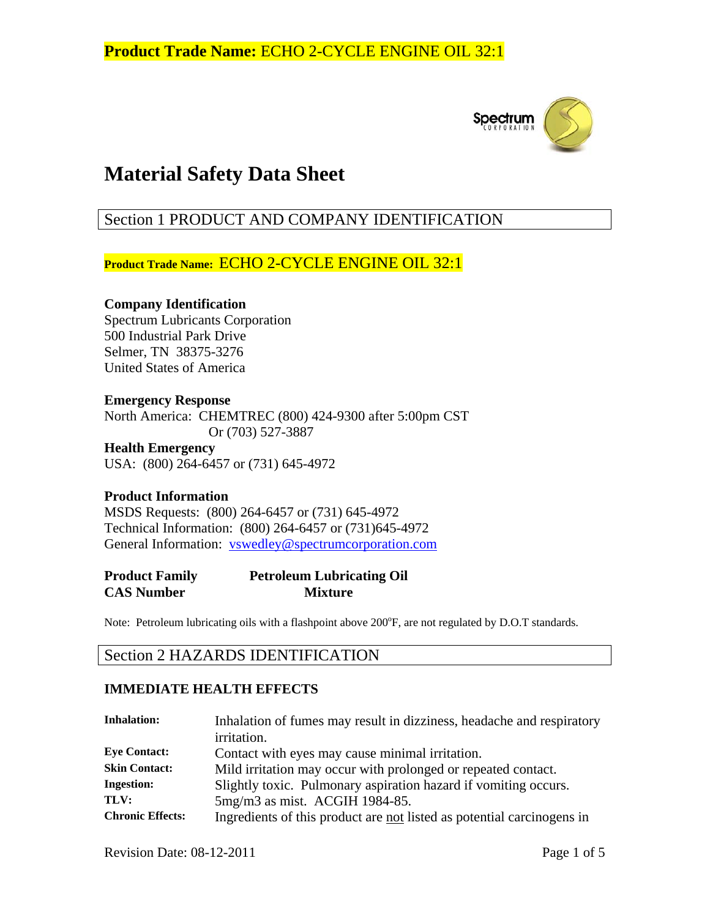

# **Material Safety Data Sheet**

# Section 1 PRODUCT AND COMPANY IDENTIFICATION

**Product Trade Name:** ECHO 2-CYCLE ENGINE OIL 32:1

#### **Company Identification**  Spectrum Lubricants Corporation

500 Industrial Park Drive Selmer, TN 38375-3276 United States of America

#### **Emergency Response**

North America: CHEMTREC (800) 424-9300 after 5:00pm CST Or (703) 527-3887

**Health Emergency**  USA: (800) 264-6457 or (731) 645-4972

#### **Product Information**

MSDS Requests: (800) 264-6457 or (731) 645-4972 Technical Information: (800) 264-6457 or (731)645-4972 General Information: vswedley@spectrumcorporation.com

#### **Product Family Petroleum Lubricating Oil CAS Number Mixture**

Note: Petroleum lubricating oils with a flashpoint above 200°F, are not regulated by D.O.T standards.

### Section 2 HAZARDS IDENTIFICATION

#### **IMMEDIATE HEALTH EFFECTS**

| <b>Inhalation:</b>      | Inhalation of fumes may result in dizziness, headache and respiratory  |
|-------------------------|------------------------------------------------------------------------|
|                         | <i>irritation.</i>                                                     |
| <b>Eye Contact:</b>     | Contact with eyes may cause minimal irritation.                        |
| <b>Skin Contact:</b>    | Mild irritation may occur with prolonged or repeated contact.          |
| <b>Ingestion:</b>       | Slightly toxic. Pulmonary aspiration hazard if vomiting occurs.        |
| TLV:                    | 5mg/m3 as mist. ACGIH 1984-85.                                         |
| <b>Chronic Effects:</b> | Ingredients of this product are not listed as potential carcinogens in |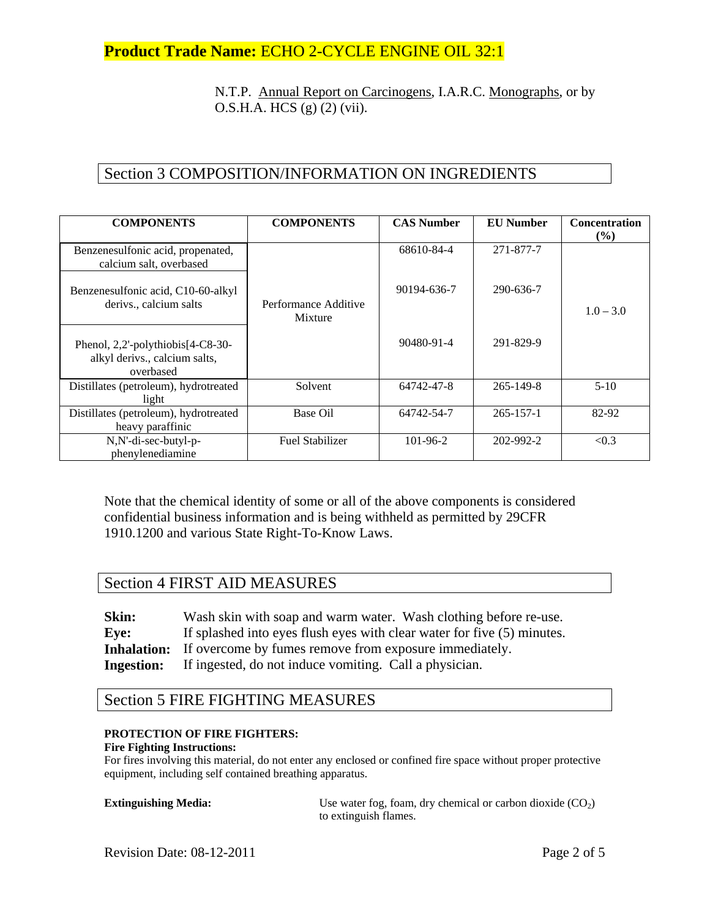**Product Trade Name:** ECHO 2-CYCLE ENGINE OIL 32:1

N.T.P. Annual Report on Carcinogens, I.A.R.C. Monographs, or by O.S.H.A. HCS (g) (2) (vii).

# Section 3 COMPOSITION/INFORMATION ON INGREDIENTS

| <b>COMPONENTS</b>                                                               | <b>COMPONENTS</b>               | <b>CAS Number</b> | <b>EU Number</b> | <b>Concentration</b><br>(%) |
|---------------------------------------------------------------------------------|---------------------------------|-------------------|------------------|-----------------------------|
| Benzenesulfonic acid, propenated,<br>calcium salt, overbased                    |                                 | 68610-84-4        | 271-877-7        |                             |
| Benzenesulfonic acid, C10-60-alkyl<br>derivs., calcium salts                    | Performance Additive<br>Mixture | 90194-636-7       | 290-636-7        | $1.0 - 3.0$                 |
| Phenol, 2,2'-polythiobis[4-C8-30-<br>alkyl derivs., calcium salts,<br>overbased |                                 | 90480-91-4        | 291-829-9        |                             |
| Distillates (petroleum), hydrotreated<br>light                                  | Solvent                         | 64742-47-8        | $265 - 149 - 8$  | $5-10$                      |
| Distillates (petroleum), hydrotreated<br>heavy paraffinic                       | Base Oil                        | 64742-54-7        | $265 - 157 - 1$  | 82-92                       |
| N,N'-di-sec-butyl-p-<br>phenylenediamine                                        | <b>Fuel Stabilizer</b>          | 101-96-2          | 202-992-2        | < 0.3                       |

Note that the chemical identity of some or all of the above components is considered confidential business information and is being withheld as permitted by 29CFR 1910.1200 and various State Right-To-Know Laws.

### Section 4 FIRST AID MEASURES

**Skin:** Wash skin with soap and warm water. Wash clothing before re-use. **Eye:** If splashed into eyes flush eyes with clear water for five (5) minutes. **Inhalation:** If overcome by fumes remove from exposure immediately. **Ingestion:** If ingested, do not induce vomiting. Call a physician.

### Section 5 FIRE FIGHTING MEASURES

#### **PROTECTION OF FIRE FIGHTERS:**

#### **Fire Fighting Instructions:**

For fires involving this material, do not enter any enclosed or confined fire space without proper protective equipment, including self contained breathing apparatus.

| <b>Extinguishing Media:</b> | Use water fog, foam, dry chemical or carbon dioxide $(CO2)$ |
|-----------------------------|-------------------------------------------------------------|
|                             | to extinguish flames.                                       |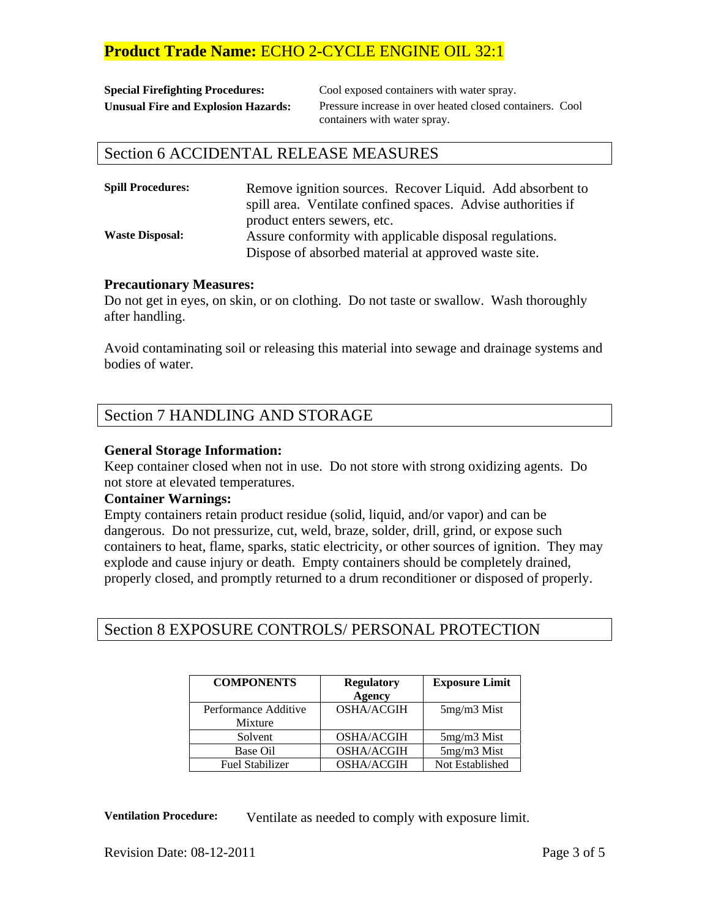# **Product Trade Name:** ECHO 2-CYCLE ENGINE OIL 32:1

| <b>Special Firefighting Procedures:</b>    |
|--------------------------------------------|
| <b>Unusual Fire and Explosion Hazards:</b> |

Cool exposed containers with water spray. Pressure increase in over heated closed containers. Cool containers with water spray.

#### Section 6 ACCIDENTAL RELEASE MEASURES

| <b>Spill Procedures:</b> | Remove ignition sources. Recover Liquid. Add absorbent to<br>spill area. Ventilate confined spaces. Advise authorities if |  |
|--------------------------|---------------------------------------------------------------------------------------------------------------------------|--|
|                          | product enters sewers, etc.                                                                                               |  |
| <b>Waste Disposal:</b>   | Assure conformity with applicable disposal regulations.                                                                   |  |
|                          | Dispose of absorbed material at approved waste site.                                                                      |  |

#### **Precautionary Measures:**

Do not get in eyes, on skin, or on clothing. Do not taste or swallow. Wash thoroughly after handling.

Avoid contaminating soil or releasing this material into sewage and drainage systems and bodies of water.

### Section 7 HANDLING AND STORAGE

#### **General Storage Information:**

Keep container closed when not in use. Do not store with strong oxidizing agents. Do not store at elevated temperatures.

#### **Container Warnings:**

Empty containers retain product residue (solid, liquid, and/or vapor) and can be dangerous. Do not pressurize, cut, weld, braze, solder, drill, grind, or expose such containers to heat, flame, sparks, static electricity, or other sources of ignition. They may explode and cause injury or death. Empty containers should be completely drained, properly closed, and promptly returned to a drum reconditioner or disposed of properly.

### Section 8 EXPOSURE CONTROLS/ PERSONAL PROTECTION

| <b>COMPONENTS</b>      | <b>Regulatory</b> | <b>Exposure Limit</b> |
|------------------------|-------------------|-----------------------|
|                        | <b>Agency</b>     |                       |
| Performance Additive   | <b>OSHA/ACGIH</b> | $5mg/m3$ Mist         |
| Mixture                |                   |                       |
| Solvent                | <b>OSHA/ACGIH</b> | $5mg/m3$ Mist         |
| Base Oil               | <b>OSHA/ACGIH</b> | 5mg/m3 Mist           |
| <b>Fuel Stabilizer</b> | <b>OSHA/ACGIH</b> | Not Established       |

**Ventilation Procedure:** Ventilate as needed to comply with exposure limit.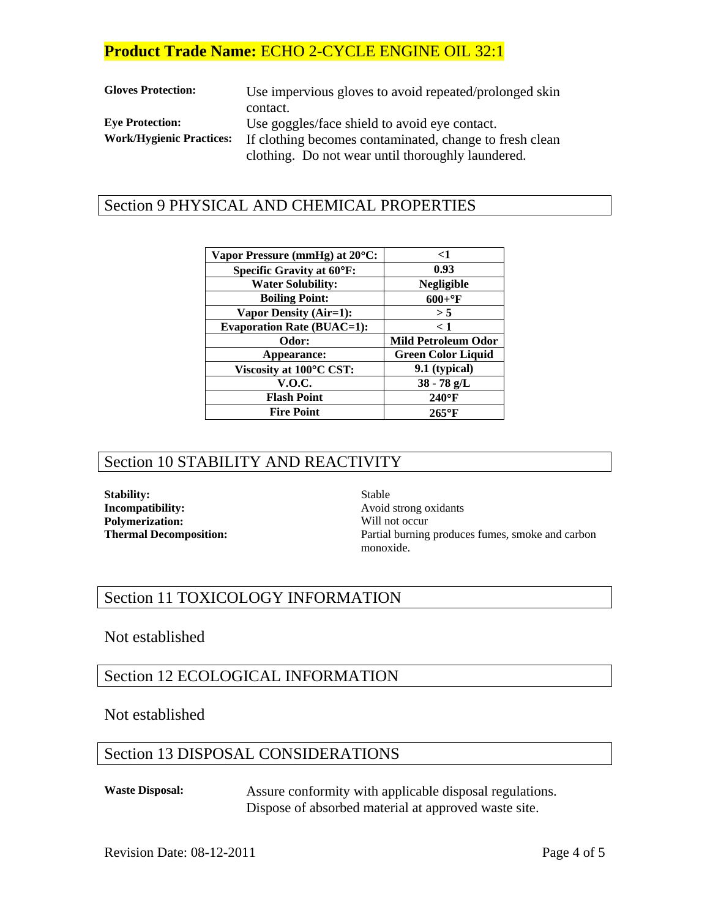# **Product Trade Name:** ECHO 2-CYCLE ENGINE OIL 32:1

| <b>Gloves Protection:</b>       | Use impervious gloves to avoid repeated/prolonged skin  |  |
|---------------------------------|---------------------------------------------------------|--|
|                                 | contact.                                                |  |
| <b>Eve Protection:</b>          | Use goggles/face shield to avoid eye contact.           |  |
| <b>Work/Hygienic Practices:</b> | If clothing becomes contaminated, change to fresh clean |  |
|                                 | clothing. Do not wear until thoroughly laundered.       |  |

### Section 9 PHYSICAL AND CHEMICAL PROPERTIES

| Vapor Pressure (mmHg) at 20 <sup>o</sup> C:<br><b>Specific Gravity at 60°F:</b><br><b>Water Solubility:</b> | $\leq$ 1<br>0.93<br>Negligible |
|-------------------------------------------------------------------------------------------------------------|--------------------------------|
|                                                                                                             |                                |
|                                                                                                             |                                |
|                                                                                                             |                                |
| <b>Boiling Point:</b>                                                                                       | $600 + °F$                     |
| Vapor Density (Air=1):                                                                                      | > 5                            |
| <b>Evaporation Rate (BUAC=1):</b>                                                                           | < 1                            |
| Odor:                                                                                                       | <b>Mild Petroleum Odor</b>     |
| Appearance:                                                                                                 | <b>Green Color Liquid</b>      |
| Viscosity at 100°C CST:                                                                                     | 9.1 (typical)                  |
| <b>V.O.C.</b>                                                                                               | $38 - 78$ g/L                  |
| <b>Flash Point</b>                                                                                          | $240^{\circ}$ F                |
| <b>Fire Point</b>                                                                                           | $265^{\circ}$ F                |
|                                                                                                             |                                |

### Section 10 STABILITY AND REACTIVITY

**Stability:** Stable **Incompatibility:** Avoid strong oxidants **Polymerization:** Will not occur

**Thermal Decomposition: Partial burning produces fumes, smoke and carbon** monoxide.

### Section 11 TOXICOLOGY INFORMATION

#### Not established

#### Section 12 ECOLOGICAL INFORMATION

Not established

# Section 13 DISPOSAL CONSIDERATIONS

**Waste Disposal:** Assure conformity with applicable disposal regulations. Dispose of absorbed material at approved waste site.